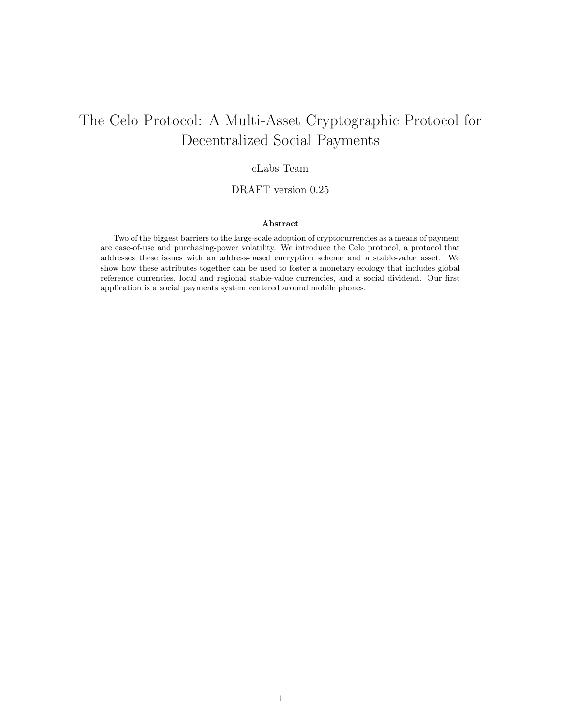# The Celo Protocol: A Multi-Asset Cryptographic Protocol for Decentralized Social Payments

# cLabs Team

## DRAFT version 0.25

## Abstract

Two of the biggest barriers to the large-scale adoption of cryptocurrencies as a means of payment are ease-of-use and purchasing-power volatility. We introduce the Celo protocol, a protocol that addresses these issues with an address-based encryption scheme and a stable-value asset. We show how these attributes together can be used to foster a monetary ecology that includes global reference currencies, local and regional stable-value currencies, and a social dividend. Our first application is a social payments system centered around mobile phones.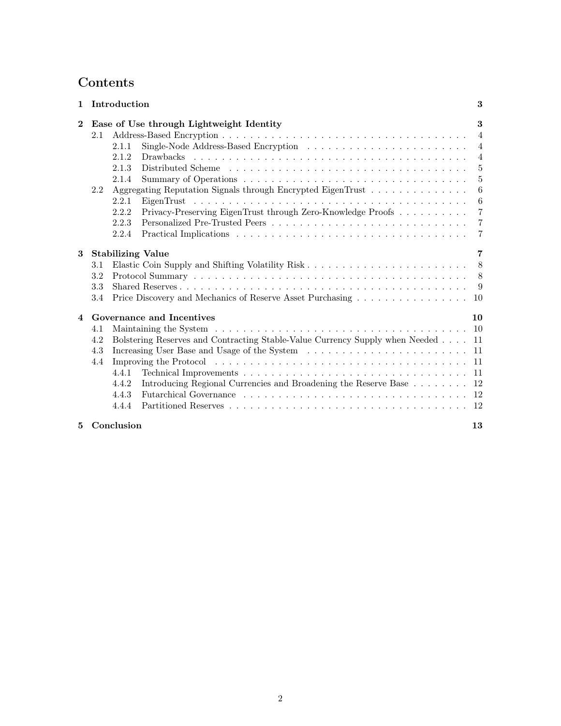# Contents

| 1                       |                                          | Introduction                                                                    |  |  |  |  |   | 3              |
|-------------------------|------------------------------------------|---------------------------------------------------------------------------------|--|--|--|--|---|----------------|
| $\mathbf{2}$            | Ease of Use through Lightweight Identity |                                                                                 |  |  |  |  | 3 |                |
|                         | 2.1                                      |                                                                                 |  |  |  |  |   | $\overline{4}$ |
|                         |                                          | 2.1.1                                                                           |  |  |  |  |   | $\overline{4}$ |
|                         |                                          | 2.1.2                                                                           |  |  |  |  |   | $\overline{4}$ |
|                         |                                          | 2.1.3                                                                           |  |  |  |  |   | 5              |
|                         |                                          | 2.1.4                                                                           |  |  |  |  |   | 5              |
|                         | 2.2                                      | Aggregating Reputation Signals through Encrypted EigenTrust                     |  |  |  |  |   | 6              |
|                         |                                          | 2.2.1                                                                           |  |  |  |  |   | 6              |
|                         |                                          | Privacy-Preserving EigenTrust through Zero-Knowledge Proofs<br>2.2.2            |  |  |  |  |   | $\overline{7}$ |
|                         |                                          | 2.2.3                                                                           |  |  |  |  |   | 7              |
|                         |                                          | 2.2.4                                                                           |  |  |  |  |   | $\overline{7}$ |
| 3                       |                                          | <b>Stabilizing Value</b>                                                        |  |  |  |  |   | 7              |
|                         | 3.1                                      |                                                                                 |  |  |  |  |   | 8              |
|                         | 3.2                                      |                                                                                 |  |  |  |  |   |                |
|                         | 3.3                                      |                                                                                 |  |  |  |  |   | -9             |
|                         |                                          |                                                                                 |  |  |  |  |   |                |
|                         | 3.4                                      | Price Discovery and Mechanics of Reserve Asset Purchasing 10                    |  |  |  |  |   |                |
| $\overline{\mathbf{4}}$ |                                          | Governance and Incentives                                                       |  |  |  |  |   | 10             |
|                         | 4.1                                      |                                                                                 |  |  |  |  |   | <sup>10</sup>  |
|                         | 4.2                                      | Bolstering Reserves and Contracting Stable-Value Currency Supply when Needed 11 |  |  |  |  |   |                |
|                         | 4.3                                      |                                                                                 |  |  |  |  |   |                |
|                         | 4.4                                      |                                                                                 |  |  |  |  |   |                |
|                         |                                          | 4.4.1                                                                           |  |  |  |  |   |                |
|                         |                                          | Introducing Regional Currencies and Broadening the Reserve Base 12<br>4.4.2     |  |  |  |  |   |                |
|                         |                                          | 4.4.3                                                                           |  |  |  |  |   |                |
|                         |                                          | 4.4.4                                                                           |  |  |  |  |   |                |
| 5                       |                                          | Conclusion                                                                      |  |  |  |  |   | 13             |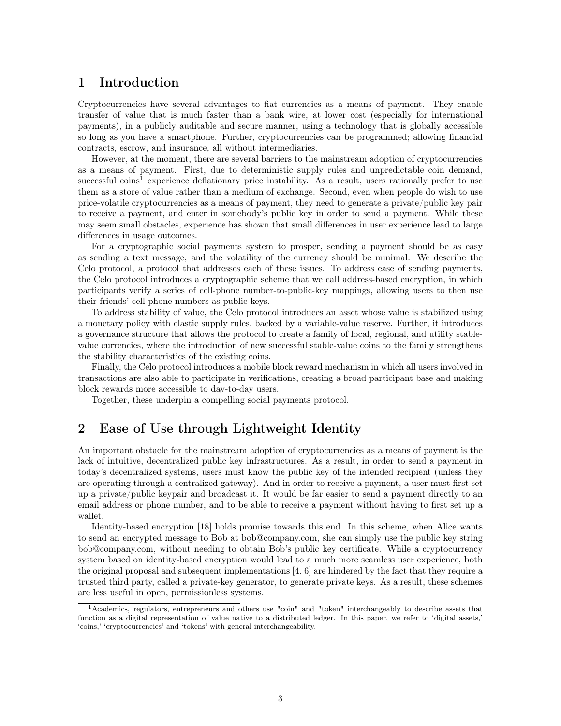# <span id="page-2-0"></span>1 Introduction

Cryptocurrencies have several advantages to fiat currencies as a means of payment. They enable transfer of value that is much faster than a bank wire, at lower cost (especially for international payments), in a publicly auditable and secure manner, using a technology that is globally accessible so long as you have a smartphone. Further, cryptocurrencies can be programmed; allowing financial contracts, escrow, and insurance, all without intermediaries.

However, at the moment, there are several barriers to the mainstream adoption of cryptocurrencies as a means of payment. First, due to deterministic supply rules and unpredictable coin demand, successful coins<sup>[1](#page-2-2)</sup> experience deflationary price instability. As a result, users rationally prefer to use them as a store of value rather than a medium of exchange. Second, even when people do wish to use price-volatile cryptocurrencies as a means of payment, they need to generate a private/public key pair to receive a payment, and enter in somebody's public key in order to send a payment. While these may seem small obstacles, experience has shown that small differences in user experience lead to large differences in usage outcomes.

For a cryptographic social payments system to prosper, sending a payment should be as easy as sending a text message, and the volatility of the currency should be minimal. We describe the Celo protocol, a protocol that addresses each of these issues. To address ease of sending payments, the Celo protocol introduces a cryptographic scheme that we call address-based encryption, in which participants verify a series of cell-phone number-to-public-key mappings, allowing users to then use their friends' cell phone numbers as public keys.

To address stability of value, the Celo protocol introduces an asset whose value is stabilized using a monetary policy with elastic supply rules, backed by a variable-value reserve. Further, it introduces a governance structure that allows the protocol to create a family of local, regional, and utility stablevalue currencies, where the introduction of new successful stable-value coins to the family strengthens the stability characteristics of the existing coins.

Finally, the Celo protocol introduces a mobile block reward mechanism in which all users involved in transactions are also able to participate in verifications, creating a broad participant base and making block rewards more accessible to day-to-day users.

Together, these underpin a compelling social payments protocol.

# <span id="page-2-1"></span>2 Ease of Use through Lightweight Identity

An important obstacle for the mainstream adoption of cryptocurrencies as a means of payment is the lack of intuitive, decentralized public key infrastructures. As a result, in order to send a payment in today's decentralized systems, users must know the public key of the intended recipient (unless they are operating through a centralized gateway). And in order to receive a payment, a user must first set up a private/public keypair and broadcast it. It would be far easier to send a payment directly to an email address or phone number, and to be able to receive a payment without having to first set up a wallet.

Identity-based encryption [\[18\]](#page-13-0) holds promise towards this end. In this scheme, when Alice wants to send an encrypted message to Bob at bob@company.com, she can simply use the public key string bob@company.com, without needing to obtain Bob's public key certificate. While a cryptocurrency system based on identity-based encryption would lead to a much more seamless user experience, both the original proposal and subsequent implementations [\[4,](#page-12-1) [6\]](#page-12-2) are hindered by the fact that they require a trusted third party, called a private-key generator, to generate private keys. As a result, these schemes are less useful in open, permissionless systems.

<span id="page-2-2"></span><sup>1</sup>Academics, regulators, entrepreneurs and others use "coin" and "token" interchangeably to describe assets that function as a digital representation of value native to a distributed ledger. In this paper, we refer to 'digital assets,' 'coins,' 'cryptocurrencies' and 'tokens' with general interchangeability.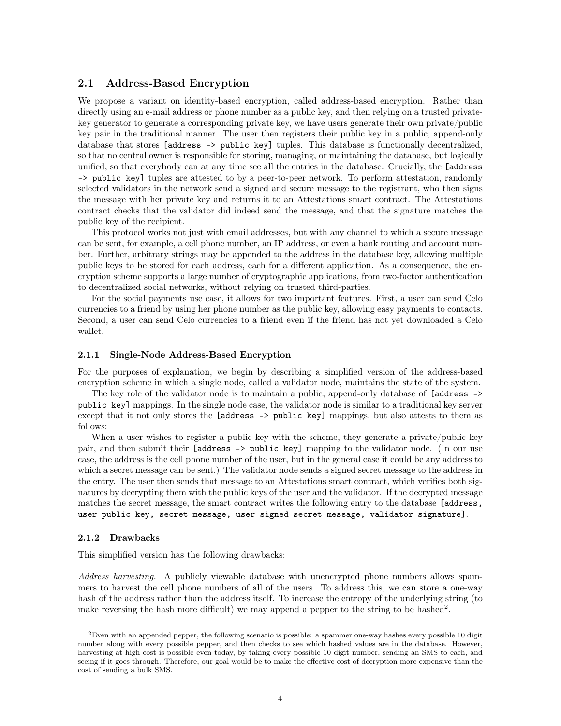## <span id="page-3-0"></span>2.1 Address-Based Encryption

We propose a variant on identity-based encryption, called address-based encryption. Rather than directly using an e-mail address or phone number as a public key, and then relying on a trusted privatekey generator to generate a corresponding private key, we have users generate their own private/public key pair in the traditional manner. The user then registers their public key in a public, append-only database that stores [address -> public key] tuples. This database is functionally decentralized, so that no central owner is responsible for storing, managing, or maintaining the database, but logically unified, so that everybody can at any time see all the entries in the database. Crucially, the [address -> public key] tuples are attested to by a peer-to-peer network. To perform attestation, randomly selected validators in the network send a signed and secure message to the registrant, who then signs the message with her private key and returns it to an Attestations smart contract. The Attestations contract checks that the validator did indeed send the message, and that the signature matches the public key of the recipient.

This protocol works not just with email addresses, but with any channel to which a secure message can be sent, for example, a cell phone number, an IP address, or even a bank routing and account number. Further, arbitrary strings may be appended to the address in the database key, allowing multiple public keys to be stored for each address, each for a different application. As a consequence, the encryption scheme supports a large number of cryptographic applications, from two-factor authentication to decentralized social networks, without relying on trusted third-parties.

For the social payments use case, it allows for two important features. First, a user can send Celo currencies to a friend by using her phone number as the public key, allowing easy payments to contacts. Second, a user can send Celo currencies to a friend even if the friend has not yet downloaded a Celo wallet.

#### <span id="page-3-1"></span>2.1.1 Single-Node Address-Based Encryption

For the purposes of explanation, we begin by describing a simplified version of the address-based encryption scheme in which a single node, called a validator node, maintains the state of the system.

The key role of the validator node is to maintain a public, append-only database of [address -> public key] mappings. In the single node case, the validator node is similar to a traditional key server except that it not only stores the [address -> public key] mappings, but also attests to them as follows:

When a user wishes to register a public key with the scheme, they generate a private/public key pair, and then submit their [address -> public key] mapping to the validator node. (In our use case, the address is the cell phone number of the user, but in the general case it could be any address to which a secret message can be sent.) The validator node sends a signed secret message to the address in the entry. The user then sends that message to an Attestations smart contract, which verifies both signatures by decrypting them with the public keys of the user and the validator. If the decrypted message matches the secret message, the smart contract writes the following entry to the database [address, user public key, secret message, user signed secret message, validator signature].

#### <span id="page-3-2"></span>2.1.2 Drawbacks

This simplified version has the following drawbacks:

Address harvesting. A publicly viewable database with unencrypted phone numbers allows spammers to harvest the cell phone numbers of all of the users. To address this, we can store a one-way hash of the address rather than the address itself. To increase the entropy of the underlying string (to make reversing the hash more difficult) we may append a pepper to the string to be hashed<sup>[2](#page-3-3)</sup>.

<span id="page-3-3"></span> ${}^{2}$ Even with an appended pepper, the following scenario is possible: a spammer one-way hashes every possible 10 digit number along with every possible pepper, and then checks to see which hashed values are in the database. However, harvesting at high cost is possible even today, by taking every possible 10 digit number, sending an SMS to each, and seeing if it goes through. Therefore, our goal would be to make the effective cost of decryption more expensive than the cost of sending a bulk SMS.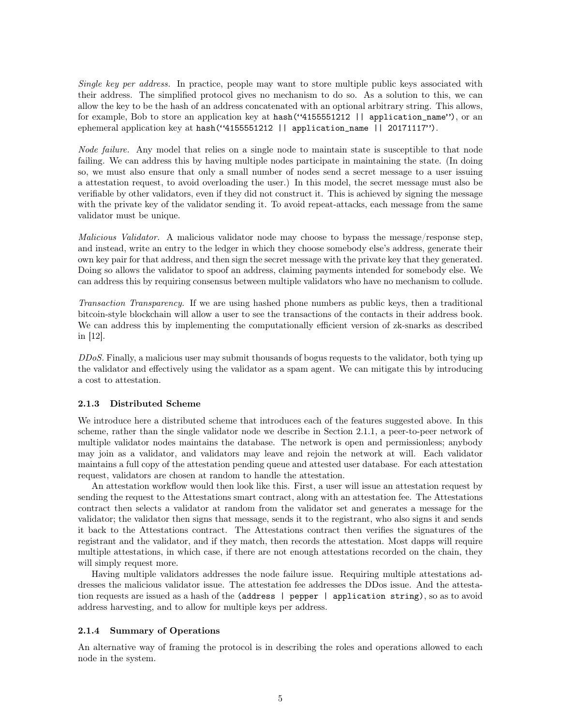Single key per address. In practice, people may want to store multiple public keys associated with their address. The simplified protocol gives no mechanism to do so. As a solution to this, we can allow the key to be the hash of an address concatenated with an optional arbitrary string. This allows, for example, Bob to store an application key at hash("4155551212 | | application\_name"), or an ephemeral application key at hash("4155551212 || application\_name || 20171117").

Node failure. Any model that relies on a single node to maintain state is susceptible to that node failing. We can address this by having multiple nodes participate in maintaining the state. (In doing so, we must also ensure that only a small number of nodes send a secret message to a user issuing a attestation request, to avoid overloading the user.) In this model, the secret message must also be verifiable by other validators, even if they did not construct it. This is achieved by signing the message with the private key of the validator sending it. To avoid repeat-attacks, each message from the same validator must be unique.

Malicious Validator. A malicious validator node may choose to bypass the message/response step, and instead, write an entry to the ledger in which they choose somebody else's address, generate their own key pair for that address, and then sign the secret message with the private key that they generated. Doing so allows the validator to spoof an address, claiming payments intended for somebody else. We can address this by requiring consensus between multiple validators who have no mechanism to collude.

Transaction Transparency. If we are using hashed phone numbers as public keys, then a traditional bitcoin-style blockchain will allow a user to see the transactions of the contacts in their address book. We can address this by implementing the computationally efficient version of zk-snarks as described in [\[12\]](#page-12-3).

DDoS. Finally, a malicious user may submit thousands of bogus requests to the validator, both tying up the validator and effectively using the validator as a spam agent. We can mitigate this by introducing a cost to attestation.

### <span id="page-4-0"></span>2.1.3 Distributed Scheme

We introduce here a distributed scheme that introduces each of the features suggested above. In this scheme, rather than the single validator node we describe in Section [2.1.1,](#page-3-1) a peer-to-peer network of multiple validator nodes maintains the database. The network is open and permissionless; anybody may join as a validator, and validators may leave and rejoin the network at will. Each validator maintains a full copy of the attestation pending queue and attested user database. For each attestation request, validators are chosen at random to handle the attestation.

An attestation workflow would then look like this. First, a user will issue an attestation request by sending the request to the Attestations smart contract, along with an attestation fee. The Attestations contract then selects a validator at random from the validator set and generates a message for the validator; the validator then signs that message, sends it to the registrant, who also signs it and sends it back to the Attestations contract. The Attestations contract then verifies the signatures of the registrant and the validator, and if they match, then records the attestation. Most dapps will require multiple attestations, in which case, if there are not enough attestations recorded on the chain, they will simply request more.

Having multiple validators addresses the node failure issue. Requiring multiple attestations addresses the malicious validator issue. The attestation fee addresses the DDos issue. And the attestation requests are issued as a hash of the (address | pepper | application string), so as to avoid address harvesting, and to allow for multiple keys per address.

#### <span id="page-4-1"></span>2.1.4 Summary of Operations

An alternative way of framing the protocol is in describing the roles and operations allowed to each node in the system.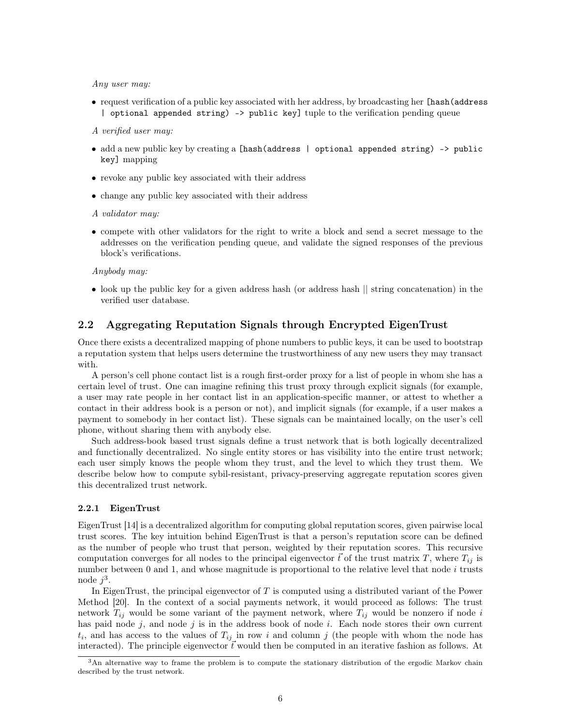Any user may:

• request verification of a public key associated with her address, by broadcasting her [hash(address | optional appended string) -> public key] tuple to the verification pending queue

A verified user may:

- add a new public key by creating a [hash(address | optional appended string) -> public key] mapping
- revoke any public key associated with their address
- change any public key associated with their address
- A validator may:
- compete with other validators for the right to write a block and send a secret message to the addresses on the verification pending queue, and validate the signed responses of the previous block's verifications.

Anybody may:

• look up the public key for a given address hash (or address hash  $\parallel$  string concatenation) in the verified user database.

## <span id="page-5-0"></span>2.2 Aggregating Reputation Signals through Encrypted EigenTrust

Once there exists a decentralized mapping of phone numbers to public keys, it can be used to bootstrap a reputation system that helps users determine the trustworthiness of any new users they may transact with.

A person's cell phone contact list is a rough first-order proxy for a list of people in whom she has a certain level of trust. One can imagine refining this trust proxy through explicit signals (for example, a user may rate people in her contact list in an application-specific manner, or attest to whether a contact in their address book is a person or not), and implicit signals (for example, if a user makes a payment to somebody in her contact list). These signals can be maintained locally, on the user's cell phone, without sharing them with anybody else.

Such address-book based trust signals define a trust network that is both logically decentralized and functionally decentralized. No single entity stores or has visibility into the entire trust network; each user simply knows the people whom they trust, and the level to which they trust them. We describe below how to compute sybil-resistant, privacy-preserving aggregate reputation scores given this decentralized trust network.

#### <span id="page-5-1"></span>2.2.1 EigenTrust

EigenTrust [\[14\]](#page-12-4) is a decentralized algorithm for computing global reputation scores, given pairwise local trust scores. The key intuition behind EigenTrust is that a person's reputation score can be defined as the number of people who trust that person, weighted by their reputation scores. This recursive computation converges for all nodes to the principal eigenvector  $\vec{t}$  of the trust matrix T, where  $T_{ij}$  is number between  $0$  and  $1$ , and whose magnitude is proportional to the relative level that node  $i$  trusts node  $j^3$  $j^3$ .

In EigenTrust, the principal eigenvector of  $T$  is computed using a distributed variant of the Power Method [\[20\]](#page-13-1). In the context of a social payments network, it would proceed as follows: The trust network  $T_{ij}$  would be some variant of the payment network, where  $T_{ij}$  would be nonzero if node i has paid node  $j$ , and node  $j$  is in the address book of node  $i$ . Each node stores their own current  $t_i$ , and has access to the values of  $T_{ij}$  in row i and column j (the people with whom the node has interacted). The principle eigenvector  $\vec{t}$  would then be computed in an iterative fashion as follows. At

<span id="page-5-2"></span><sup>&</sup>lt;sup>3</sup>An alternative way to frame the problem is to compute the stationary distribution of the ergodic Markov chain described by the trust network.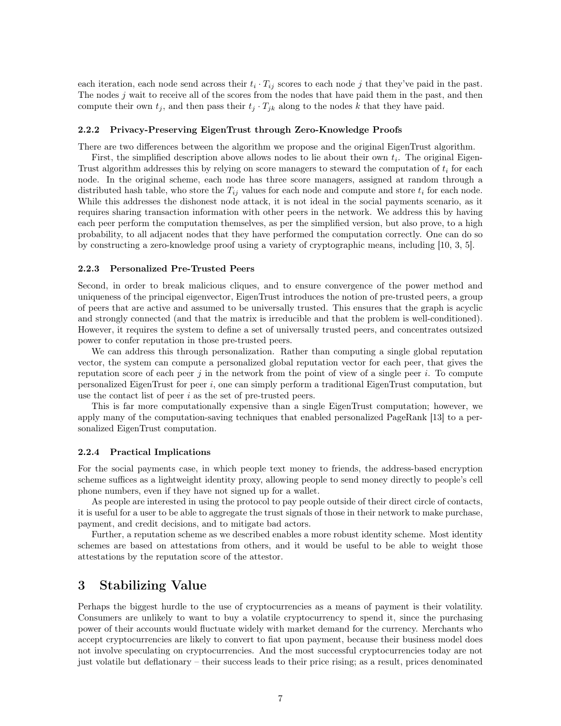each iteration, each node send across their  $t_i \cdot T_{ij}$  scores to each node j that they've paid in the past. The nodes j wait to receive all of the scores from the nodes that have paid them in the past, and then compute their own  $t_j$ , and then pass their  $t_j \cdot T_{jk}$  along to the nodes k that they have paid.

#### <span id="page-6-0"></span>2.2.2 Privacy-Preserving EigenTrust through Zero-Knowledge Proofs

There are two differences between the algorithm we propose and the original EigenTrust algorithm.

First, the simplified description above allows nodes to lie about their own  $t_i$ . The original Eigen-Trust algorithm addresses this by relying on score managers to steward the computation of  $t_i$  for each node. In the original scheme, each node has three score managers, assigned at random through a distributed hash table, who store the  $T_{ij}$  values for each node and compute and store  $t_i$  for each node. While this addresses the dishonest node attack, it is not ideal in the social payments scenario, as it requires sharing transaction information with other peers in the network. We address this by having each peer perform the computation themselves, as per the simplified version, but also prove, to a high probability, to all adjacent nodes that they have performed the computation correctly. One can do so by constructing a zero-knowledge proof using a variety of cryptographic means, including [\[10,](#page-12-5) [3,](#page-12-6) [5\]](#page-12-7).

#### <span id="page-6-1"></span>2.2.3 Personalized Pre-Trusted Peers

Second, in order to break malicious cliques, and to ensure convergence of the power method and uniqueness of the principal eigenvector, EigenTrust introduces the notion of pre-trusted peers, a group of peers that are active and assumed to be universally trusted. This ensures that the graph is acyclic and strongly connected (and that the matrix is irreducible and that the problem is well-conditioned). However, it requires the system to define a set of universally trusted peers, and concentrates outsized power to confer reputation in those pre-trusted peers.

We can address this through personalization. Rather than computing a single global reputation vector, the system can compute a personalized global reputation vector for each peer, that gives the reputation score of each peer  $j$  in the network from the point of view of a single peer  $i$ . To compute personalized EigenTrust for peer  $i$ , one can simply perform a traditional EigenTrust computation, but use the contact list of peer  $i$  as the set of pre-trusted peers.

This is far more computationally expensive than a single EigenTrust computation; however, we apply many of the computation-saving techniques that enabled personalized PageRank [\[13\]](#page-12-8) to a personalized EigenTrust computation.

#### <span id="page-6-2"></span>2.2.4 Practical Implications

For the social payments case, in which people text money to friends, the address-based encryption scheme suffices as a lightweight identity proxy, allowing people to send money directly to people's cell phone numbers, even if they have not signed up for a wallet.

As people are interested in using the protocol to pay people outside of their direct circle of contacts, it is useful for a user to be able to aggregate the trust signals of those in their network to make purchase, payment, and credit decisions, and to mitigate bad actors.

Further, a reputation scheme as we described enables a more robust identity scheme. Most identity schemes are based on attestations from others, and it would be useful to be able to weight those attestations by the reputation score of the attestor.

# <span id="page-6-3"></span>3 Stabilizing Value

Perhaps the biggest hurdle to the use of cryptocurrencies as a means of payment is their volatility. Consumers are unlikely to want to buy a volatile cryptocurrency to spend it, since the purchasing power of their accounts would fluctuate widely with market demand for the currency. Merchants who accept cryptocurrencies are likely to convert to fiat upon payment, because their business model does not involve speculating on cryptocurrencies. And the most successful cryptocurrencies today are not just volatile but deflationary – their success leads to their price rising; as a result, prices denominated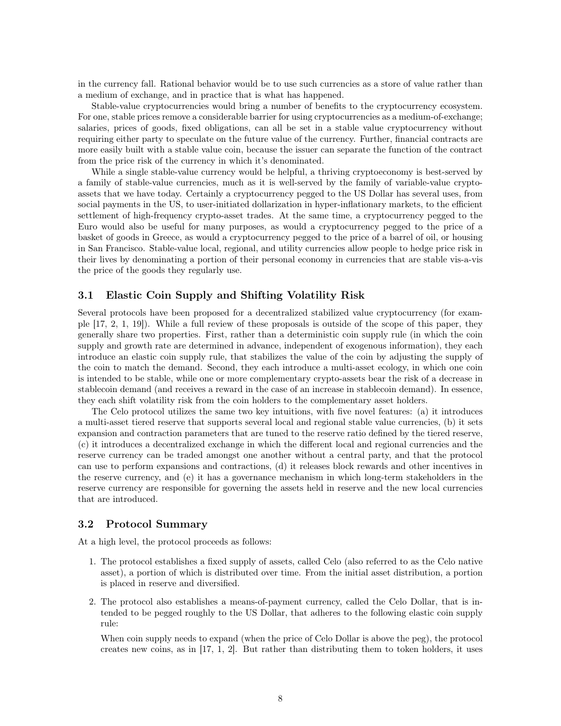in the currency fall. Rational behavior would be to use such currencies as a store of value rather than a medium of exchange, and in practice that is what has happened.

Stable-value cryptocurrencies would bring a number of benefits to the cryptocurrency ecosystem. For one, stable prices remove a considerable barrier for using cryptocurrencies as a medium-of-exchange; salaries, prices of goods, fixed obligations, can all be set in a stable value cryptocurrency without requiring either party to speculate on the future value of the currency. Further, financial contracts are more easily built with a stable value coin, because the issuer can separate the function of the contract from the price risk of the currency in which it's denominated.

While a single stable-value currency would be helpful, a thriving cryptoeconomy is best-served by a family of stable-value currencies, much as it is well-served by the family of variable-value cryptoassets that we have today. Certainly a cryptocurrency pegged to the US Dollar has several uses, from social payments in the US, to user-initiated dollarization in hyper-inflationary markets, to the efficient settlement of high-frequency crypto-asset trades. At the same time, a cryptocurrency pegged to the Euro would also be useful for many purposes, as would a cryptocurrency pegged to the price of a basket of goods in Greece, as would a cryptocurrency pegged to the price of a barrel of oil, or housing in San Francisco. Stable-value local, regional, and utility currencies allow people to hedge price risk in their lives by denominating a portion of their personal economy in currencies that are stable vis-a-vis the price of the goods they regularly use.

## <span id="page-7-0"></span>3.1 Elastic Coin Supply and Shifting Volatility Risk

Several protocols have been proposed for a decentralized stabilized value cryptocurrency (for example [\[17,](#page-13-2) [2,](#page-12-9) [1,](#page-12-10) [19\]](#page-13-3)). While a full review of these proposals is outside of the scope of this paper, they generally share two properties. First, rather than a deterministic coin supply rule (in which the coin supply and growth rate are determined in advance, independent of exogenous information), they each introduce an elastic coin supply rule, that stabilizes the value of the coin by adjusting the supply of the coin to match the demand. Second, they each introduce a multi-asset ecology, in which one coin is intended to be stable, while one or more complementary crypto-assets bear the risk of a decrease in stablecoin demand (and receives a reward in the case of an increase in stablecoin demand). In essence, they each shift volatility risk from the coin holders to the complementary asset holders.

The Celo protocol utilizes the same two key intuitions, with five novel features: (a) it introduces a multi-asset tiered reserve that supports several local and regional stable value currencies, (b) it sets expansion and contraction parameters that are tuned to the reserve ratio defined by the tiered reserve, (c) it introduces a decentralized exchange in which the different local and regional currencies and the reserve currency can be traded amongst one another without a central party, and that the protocol can use to perform expansions and contractions, (d) it releases block rewards and other incentives in the reserve currency, and (e) it has a governance mechanism in which long-term stakeholders in the reserve currency are responsible for governing the assets held in reserve and the new local currencies that are introduced.

## <span id="page-7-1"></span>3.2 Protocol Summary

At a high level, the protocol proceeds as follows:

- 1. The protocol establishes a fixed supply of assets, called Celo (also referred to as the Celo native asset), a portion of which is distributed over time. From the initial asset distribution, a portion is placed in reserve and diversified.
- 2. The protocol also establishes a means-of-payment currency, called the Celo Dollar, that is intended to be pegged roughly to the US Dollar, that adheres to the following elastic coin supply rule:

When coin supply needs to expand (when the price of Celo Dollar is above the peg), the protocol creates new coins, as in [\[17,](#page-13-2) [1,](#page-12-10) [2\]](#page-12-9). But rather than distributing them to token holders, it uses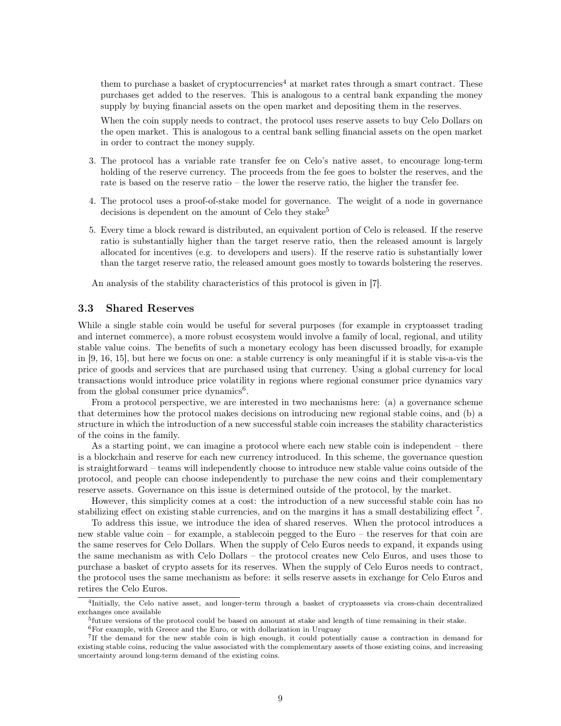them to purchase a basket of cryptocurrencies<sup>[4](#page-8-1)</sup> at market rates through a smart contract. These purchases get added to the reserves. This is analogous to a central bank expanding the money supply by buying financial assets on the open market and depositing them in the reserves.

When the coin supply needs to contract, the protocol uses reserve assets to buy Celo Dollars on the open market. This is analogous to a central bank selling financial assets on the open market in order to contract the money supply.

- 3. The protocol has a variable rate transfer fee on Celo's native asset, to encourage long-term holding of the reserve currency. The proceeds from the fee goes to bolster the reserves, and the rate is based on the reserve ratio – the lower the reserve ratio, the higher the transfer fee.
- 4. The protocol uses a proof-of-stake model for governance. The weight of a node in governance decisions is dependent on the amount of Celo they stake<sup>[5](#page-8-2)</sup>
- 5. Every time a block reward is distributed, an equivalent portion of Celo is released. If the reserve ratio is substantially higher than the target reserve ratio, then the released amount is largely allocated for incentives (e.g. to developers and users). If the reserve ratio is substantially lower than the target reserve ratio, the released amount goes mostly to towards bolstering the reserves.

An analysis of the stability characteristics of this protocol is given in [\[7\]](#page-12-11).

### <span id="page-8-0"></span>3.3 Shared Reserves

While a single stable coin would be useful for several purposes (for example in cryptoasset trading and internet commerce), a more robust ecosystem would involve a family of local, regional, and utility stable value coins. The benefits of such a monetary ecology has been discussed broadly, for example in [\[9,](#page-12-12) [16,](#page-12-13) [15\]](#page-12-14), but here we focus on one: a stable currency is only meaningful if it is stable vis-a-vis the price of goods and services that are purchased using that currency. Using a global currency for local transactions would introduce price volatility in regions where regional consumer price dynamics vary from the global consumer price dynamics<sup>[6](#page-8-3)</sup>.

From a protocol perspective, we are interested in two mechanisms here: (a) a governance scheme that determines how the protocol makes decisions on introducing new regional stable coins, and (b) a structure in which the introduction of a new successful stable coin increases the stability characteristics of the coins in the family.

As a starting point, we can imagine a protocol where each new stable coin is independent – there is a blockchain and reserve for each new currency introduced. In this scheme, the governance question is straightforward – teams will independently choose to introduce new stable value coins outside of the protocol, and people can choose independently to purchase the new coins and their complementary reserve assets. Governance on this issue is determined outside of the protocol, by the market.

However, this simplicity comes at a cost: the introduction of a new successful stable coin has no stabilizing effect on existing stable currencies, and on the margins it has a small destabilizing effect<sup>[7](#page-8-4)</sup>.

To address this issue, we introduce the idea of shared reserves. When the protocol introduces a new stable value coin – for example, a stablecoin pegged to the Euro – the reserves for that coin are the same reserves for Celo Dollars. When the supply of Celo Euros needs to expand, it expands using the same mechanism as with Celo Dollars – the protocol creates new Celo Euros, and uses those to purchase a basket of crypto assets for its reserves. When the supply of Celo Euros needs to contract, the protocol uses the same mechanism as before: it sells reserve assets in exchange for Celo Euros and retires the Celo Euros.

<span id="page-8-1"></span><sup>4</sup> Initially, the Celo native asset, and longer-term through a basket of cryptoassets via cross-chain decentralized exchanges once available

<span id="page-8-2"></span><sup>&</sup>lt;sup>5</sup>future versions of the protocol could be based on amount at stake and length of time remaining in their stake.

<span id="page-8-4"></span><span id="page-8-3"></span> ${}^{6}$  For example, with Greece and the Euro, or with dollarization in Uruguay

<sup>7</sup> If the demand for the new stable coin is high enough, it could potentially cause a contraction in demand for existing stable coins, reducing the value associated with the complementary assets of those existing coins, and increasing uncertainty around long-term demand of the existing coins.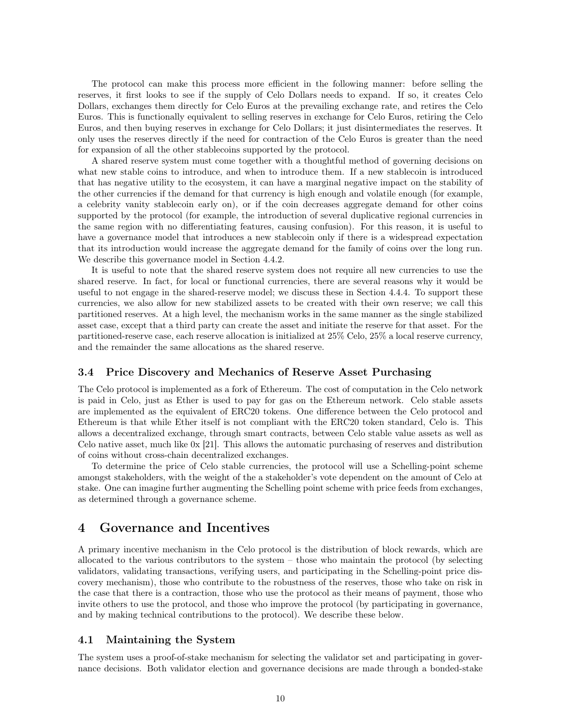The protocol can make this process more efficient in the following manner: before selling the reserves, it first looks to see if the supply of Celo Dollars needs to expand. If so, it creates Celo Dollars, exchanges them directly for Celo Euros at the prevailing exchange rate, and retires the Celo Euros. This is functionally equivalent to selling reserves in exchange for Celo Euros, retiring the Celo Euros, and then buying reserves in exchange for Celo Dollars; it just disintermediates the reserves. It only uses the reserves directly if the need for contraction of the Celo Euros is greater than the need for expansion of all the other stablecoins supported by the protocol.

A shared reserve system must come together with a thoughtful method of governing decisions on what new stable coins to introduce, and when to introduce them. If a new stablecoin is introduced that has negative utility to the ecosystem, it can have a marginal negative impact on the stability of the other currencies if the demand for that currency is high enough and volatile enough (for example, a celebrity vanity stablecoin early on), or if the coin decreases aggregate demand for other coins supported by the protocol (for example, the introduction of several duplicative regional currencies in the same region with no differentiating features, causing confusion). For this reason, it is useful to have a governance model that introduces a new stablecoin only if there is a widespread expectation that its introduction would increase the aggregate demand for the family of coins over the long run. We describe this governance model in Section [4.4.2.](#page-11-0)

It is useful to note that the shared reserve system does not require all new currencies to use the shared reserve. In fact, for local or functional currencies, there are several reasons why it would be useful to not engage in the shared-reserve model; we discuss these in Section [4.4.4.](#page-11-2) To support these currencies, we also allow for new stabilized assets to be created with their own reserve; we call this partitioned reserves. At a high level, the mechanism works in the same manner as the single stabilized asset case, except that a third party can create the asset and initiate the reserve for that asset. For the partitioned-reserve case, each reserve allocation is initialized at 25% Celo, 25% a local reserve currency, and the remainder the same allocations as the shared reserve.

### <span id="page-9-0"></span>3.4 Price Discovery and Mechanics of Reserve Asset Purchasing

The Celo protocol is implemented as a fork of Ethereum. The cost of computation in the Celo network is paid in Celo, just as Ether is used to pay for gas on the Ethereum network. Celo stable assets are implemented as the equivalent of ERC20 tokens. One difference between the Celo protocol and Ethereum is that while Ether itself is not compliant with the ERC20 token standard, Celo is. This allows a decentralized exchange, through smart contracts, between Celo stable value assets as well as Celo native asset, much like 0x [\[21\]](#page-13-4). This allows the automatic purchasing of reserves and distribution of coins without cross-chain decentralized exchanges.

To determine the price of Celo stable currencies, the protocol will use a Schelling-point scheme amongst stakeholders, with the weight of the a stakeholder's vote dependent on the amount of Celo at stake. One can imagine further augmenting the Schelling point scheme with price feeds from exchanges, as determined through a governance scheme.

# <span id="page-9-1"></span>4 Governance and Incentives

A primary incentive mechanism in the Celo protocol is the distribution of block rewards, which are allocated to the various contributors to the system – those who maintain the protocol (by selecting validators, validating transactions, verifying users, and participating in the Schelling-point price discovery mechanism), those who contribute to the robustness of the reserves, those who take on risk in the case that there is a contraction, those who use the protocol as their means of payment, those who invite others to use the protocol, and those who improve the protocol (by participating in governance, and by making technical contributions to the protocol). We describe these below.

## <span id="page-9-2"></span>4.1 Maintaining the System

The system uses a proof-of-stake mechanism for selecting the validator set and participating in governance decisions. Both validator election and governance decisions are made through a bonded-stake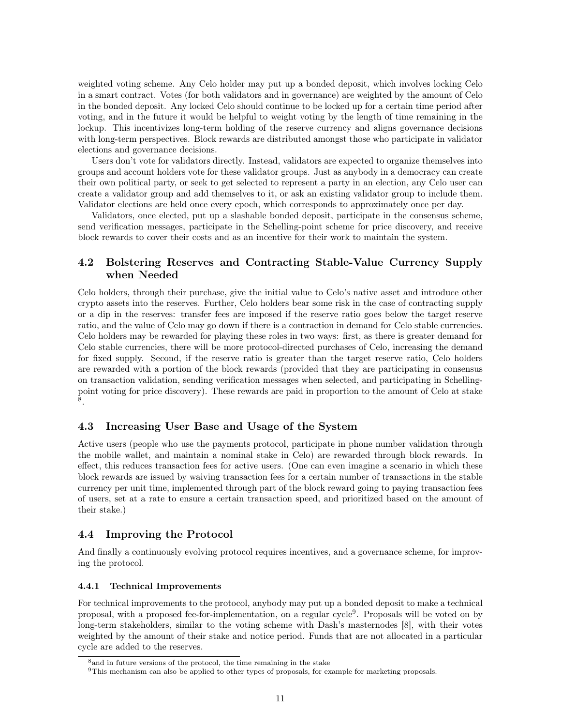weighted voting scheme. Any Celo holder may put up a bonded deposit, which involves locking Celo in a smart contract. Votes (for both validators and in governance) are weighted by the amount of Celo in the bonded deposit. Any locked Celo should continue to be locked up for a certain time period after voting, and in the future it would be helpful to weight voting by the length of time remaining in the lockup. This incentivizes long-term holding of the reserve currency and aligns governance decisions with long-term perspectives. Block rewards are distributed amongst those who participate in validator elections and governance decisions.

Users don't vote for validators directly. Instead, validators are expected to organize themselves into groups and account holders vote for these validator groups. Just as anybody in a democracy can create their own political party, or seek to get selected to represent a party in an election, any Celo user can create a validator group and add themselves to it, or ask an existing validator group to include them. Validator elections are held once every epoch, which corresponds to approximately once per day.

Validators, once elected, put up a slashable bonded deposit, participate in the consensus scheme, send verification messages, participate in the Schelling-point scheme for price discovery, and receive block rewards to cover their costs and as an incentive for their work to maintain the system.

## <span id="page-10-0"></span>4.2 Bolstering Reserves and Contracting Stable-Value Currency Supply when Needed

Celo holders, through their purchase, give the initial value to Celo's native asset and introduce other crypto assets into the reserves. Further, Celo holders bear some risk in the case of contracting supply or a dip in the reserves: transfer fees are imposed if the reserve ratio goes below the target reserve ratio, and the value of Celo may go down if there is a contraction in demand for Celo stable currencies. Celo holders may be rewarded for playing these roles in two ways: first, as there is greater demand for Celo stable currencies, there will be more protocol-directed purchases of Celo, increasing the demand for fixed supply. Second, if the reserve ratio is greater than the target reserve ratio, Celo holders are rewarded with a portion of the block rewards (provided that they are participating in consensus on transaction validation, sending verification messages when selected, and participating in Schellingpoint voting for price discovery). These rewards are paid in proportion to the amount of Celo at stake [8](#page-10-4) .

## <span id="page-10-1"></span>4.3 Increasing User Base and Usage of the System

Active users (people who use the payments protocol, participate in phone number validation through the mobile wallet, and maintain a nominal stake in Celo) are rewarded through block rewards. In effect, this reduces transaction fees for active users. (One can even imagine a scenario in which these block rewards are issued by waiving transaction fees for a certain number of transactions in the stable currency per unit time, implemented through part of the block reward going to paying transaction fees of users, set at a rate to ensure a certain transaction speed, and prioritized based on the amount of their stake.)

## <span id="page-10-2"></span>4.4 Improving the Protocol

And finally a continuously evolving protocol requires incentives, and a governance scheme, for improving the protocol.

### <span id="page-10-3"></span>4.4.1 Technical Improvements

For technical improvements to the protocol, anybody may put up a bonded deposit to make a technical proposal, with a proposed fee-for-implementation, on a regular cycle<sup>[9](#page-10-5)</sup>. Proposals will be voted on by long-term stakeholders, similar to the voting scheme with Dash's masternodes [\[8\]](#page-12-15), with their votes weighted by the amount of their stake and notice period. Funds that are not allocated in a particular cycle are added to the reserves.

<span id="page-10-4"></span><sup>8</sup>and in future versions of the protocol, the time remaining in the stake

<span id="page-10-5"></span><sup>9</sup>This mechanism can also be applied to other types of proposals, for example for marketing proposals.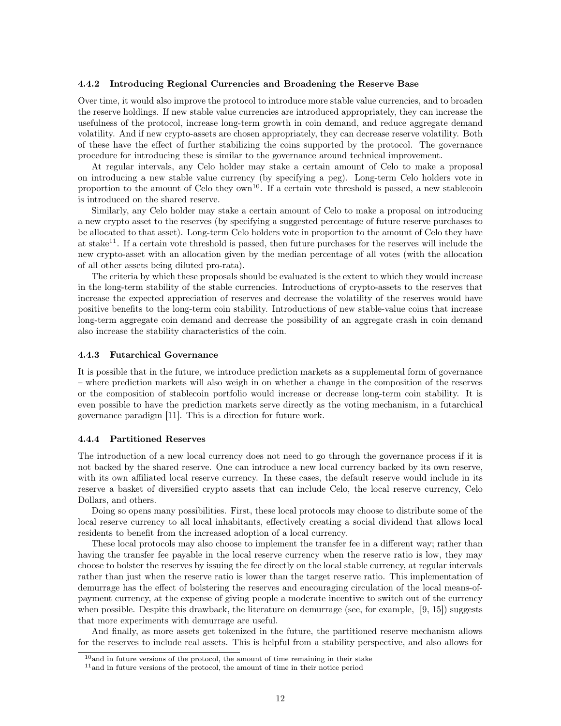#### <span id="page-11-0"></span>4.4.2 Introducing Regional Currencies and Broadening the Reserve Base

Over time, it would also improve the protocol to introduce more stable value currencies, and to broaden the reserve holdings. If new stable value currencies are introduced appropriately, they can increase the usefulness of the protocol, increase long-term growth in coin demand, and reduce aggregate demand volatility. And if new crypto-assets are chosen appropriately, they can decrease reserve volatility. Both of these have the effect of further stabilizing the coins supported by the protocol. The governance procedure for introducing these is similar to the governance around technical improvement.

At regular intervals, any Celo holder may stake a certain amount of Celo to make a proposal on introducing a new stable value currency (by specifying a peg). Long-term Celo holders vote in proportion to the amount of Celo they  $own<sup>10</sup>$  $own<sup>10</sup>$  $own<sup>10</sup>$ . If a certain vote threshold is passed, a new stablecoin is introduced on the shared reserve.

Similarly, any Celo holder may stake a certain amount of Celo to make a proposal on introducing a new crypto asset to the reserves (by specifying a suggested percentage of future reserve purchases to be allocated to that asset). Long-term Celo holders vote in proportion to the amount of Celo they have at stake<sup>[11](#page-11-4)</sup>. If a certain vote threshold is passed, then future purchases for the reserves will include the new crypto-asset with an allocation given by the median percentage of all votes (with the allocation of all other assets being diluted pro-rata).

The criteria by which these proposals should be evaluated is the extent to which they would increase in the long-term stability of the stable currencies. Introductions of crypto-assets to the reserves that increase the expected appreciation of reserves and decrease the volatility of the reserves would have positive benefits to the long-term coin stability. Introductions of new stable-value coins that increase long-term aggregate coin demand and decrease the possibility of an aggregate crash in coin demand also increase the stability characteristics of the coin.

#### <span id="page-11-1"></span>4.4.3 Futarchical Governance

It is possible that in the future, we introduce prediction markets as a supplemental form of governance – where prediction markets will also weigh in on whether a change in the composition of the reserves or the composition of stablecoin portfolio would increase or decrease long-term coin stability. It is even possible to have the prediction markets serve directly as the voting mechanism, in a futarchical governance paradigm [\[11\]](#page-12-16). This is a direction for future work.

#### <span id="page-11-2"></span>4.4.4 Partitioned Reserves

The introduction of a new local currency does not need to go through the governance process if it is not backed by the shared reserve. One can introduce a new local currency backed by its own reserve, with its own affiliated local reserve currency. In these cases, the default reserve would include in its reserve a basket of diversified crypto assets that can include Celo, the local reserve currency, Celo Dollars, and others.

Doing so opens many possibilities. First, these local protocols may choose to distribute some of the local reserve currency to all local inhabitants, effectively creating a social dividend that allows local residents to benefit from the increased adoption of a local currency.

These local protocols may also choose to implement the transfer fee in a different way; rather than having the transfer fee payable in the local reserve currency when the reserve ratio is low, they may choose to bolster the reserves by issuing the fee directly on the local stable currency, at regular intervals rather than just when the reserve ratio is lower than the target reserve ratio. This implementation of demurrage has the effect of bolstering the reserves and encouraging circulation of the local means-ofpayment currency, at the expense of giving people a moderate incentive to switch out of the currency when possible. Despite this drawback, the literature on demurrage (see, for example, [\[9,](#page-12-12) [15\]](#page-12-14)) suggests that more experiments with demurrage are useful.

And finally, as more assets get tokenized in the future, the partitioned reserve mechanism allows for the reserves to include real assets. This is helpful from a stability perspective, and also allows for

<span id="page-11-3"></span> $10$  and in future versions of the protocol, the amount of time remaining in their stake

<span id="page-11-4"></span><sup>11</sup>and in future versions of the protocol, the amount of time in their notice period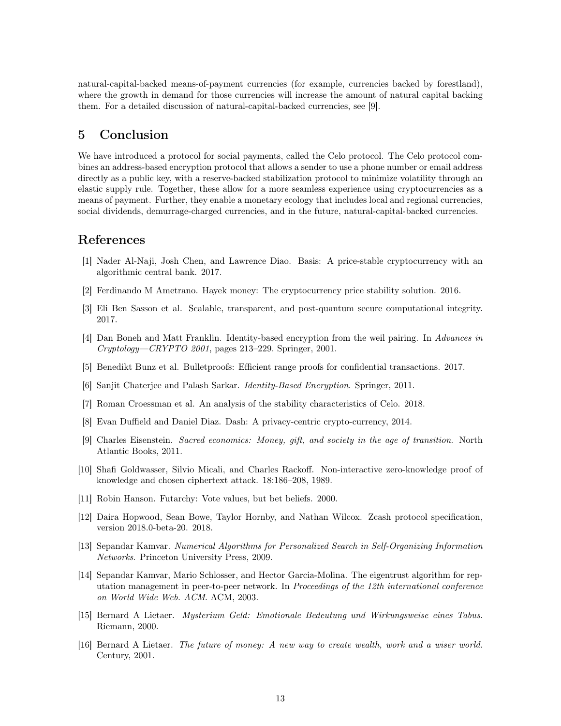natural-capital-backed means-of-payment currencies (for example, currencies backed by forestland), where the growth in demand for those currencies will increase the amount of natural capital backing them. For a detailed discussion of natural-capital-backed currencies, see [\[9\]](#page-12-12).

# <span id="page-12-0"></span>5 Conclusion

We have introduced a protocol for social payments, called the Celo protocol. The Celo protocol combines an address-based encryption protocol that allows a sender to use a phone number or email address directly as a public key, with a reserve-backed stabilization protocol to minimize volatility through an elastic supply rule. Together, these allow for a more seamless experience using cryptocurrencies as a means of payment. Further, they enable a monetary ecology that includes local and regional currencies, social dividends, demurrage-charged currencies, and in the future, natural-capital-backed currencies.

# References

- <span id="page-12-10"></span>[1] Nader Al-Naji, Josh Chen, and Lawrence Diao. Basis: A price-stable cryptocurrency with an algorithmic central bank. 2017.
- <span id="page-12-9"></span>[2] Ferdinando M Ametrano. Hayek money: The cryptocurrency price stability solution. 2016.
- <span id="page-12-6"></span>[3] Eli Ben Sasson et al. Scalable, transparent, and post-quantum secure computational integrity. 2017.
- <span id="page-12-1"></span>[4] Dan Boneh and Matt Franklin. Identity-based encryption from the weil pairing. In Advances in Cryptology—CRYPTO 2001, pages 213–229. Springer, 2001.
- <span id="page-12-7"></span>[5] Benedikt Bunz et al. Bulletproofs: Efficient range proofs for confidential transactions. 2017.
- <span id="page-12-2"></span>[6] Sanjit Chaterjee and Palash Sarkar. Identity-Based Encryption. Springer, 2011.
- <span id="page-12-11"></span>[7] Roman Croessman et al. An analysis of the stability characteristics of Celo. 2018.
- <span id="page-12-15"></span>[8] Evan Duffield and Daniel Diaz. Dash: A privacy-centric crypto-currency, 2014.
- <span id="page-12-12"></span>[9] Charles Eisenstein. Sacred economics: Money, gift, and society in the age of transition. North Atlantic Books, 2011.
- <span id="page-12-5"></span>[10] Shafi Goldwasser, Silvio Micali, and Charles Rackoff. Non-interactive zero-knowledge proof of knowledge and chosen ciphertext attack. 18:186–208, 1989.
- <span id="page-12-16"></span>[11] Robin Hanson. Futarchy: Vote values, but bet beliefs. 2000.
- <span id="page-12-3"></span>[12] Daira Hopwood, Sean Bowe, Taylor Hornby, and Nathan Wilcox. Zcash protocol specification, version 2018.0-beta-20. 2018.
- <span id="page-12-8"></span>[13] Sepandar Kamvar. Numerical Algorithms for Personalized Search in Self-Organizing Information Networks. Princeton University Press, 2009.
- <span id="page-12-4"></span>[14] Sepandar Kamvar, Mario Schlosser, and Hector Garcia-Molina. The eigentrust algorithm for reputation management in peer-to-peer network. In Proceedings of the 12th international conference on World Wide Web. ACM. ACM, 2003.
- <span id="page-12-14"></span>[15] Bernard A Lietaer. Mysterium Geld: Emotionale Bedeutung und Wirkungsweise eines Tabus. Riemann, 2000.
- <span id="page-12-13"></span>[16] Bernard A Lietaer. The future of money: A new way to create wealth, work and a wiser world. Century, 2001.